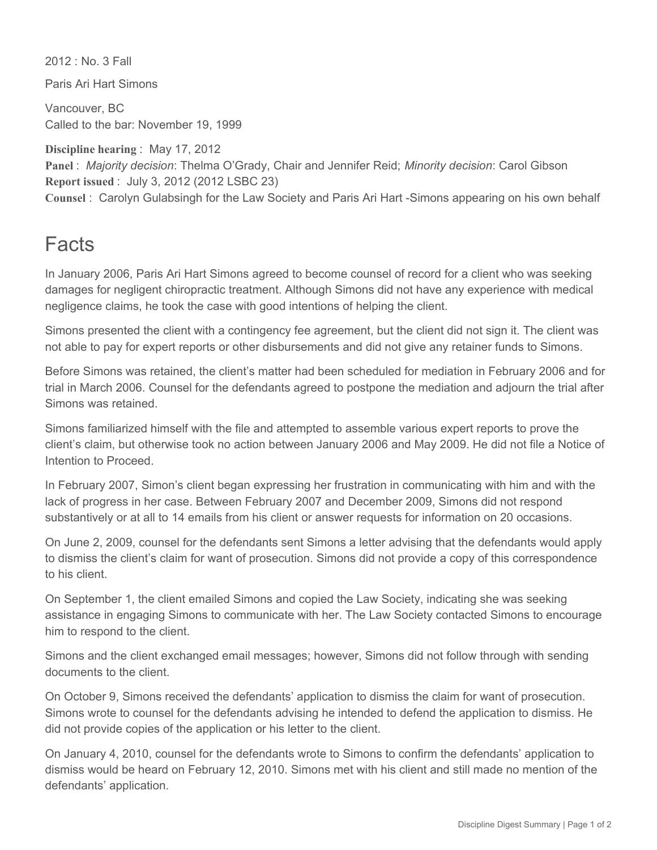2012 : No. 3 Fall

Paris Ari Hart Simons

Vancouver, BC Called to the bar: November 19, 1999

**Discipline hearing** : May 17, 2012 **Panel** : *Majority decision*: Thelma O'Grady, Chair and Jennifer Reid; *Minority decision*: Carol Gibson **Report issued** : July 3, 2012 (2012 LSBC 23) **Counsel : Carolyn Gulabsingh for the Law Society and Paris Ari Hart -Simons appearing on his own behalf** 

## Facts

In January 2006, Paris Ari Hart Simons agreed to become counsel of record for a client who was seeking damages for negligent chiropractic treatment. Although Simons did not have any experience with medical negligence claims, he took the case with good intentions of helping the client.

Simons presented the client with a contingency fee agreement, but the client did not sign it. The client was not able to pay for expert reports or other disbursements and did not give any retainer funds to Simons.

Before Simons was retained, the client's matter had been scheduled for mediation in February 2006 and for trial in March 2006. Counsel for the defendants agreed to postpone the mediation and adjourn the trial after Simons was retained.

Simons familiarized himself with the file and attempted to assemble various expert reports to prove the client's claim, but otherwise took no action between January 2006 and May 2009. He did not file a Notice of Intention to Proceed.

In February 2007, Simon's client began expressing her frustration in communicating with him and with the lack of progress in her case. Between February 2007 and December 2009, Simons did not respond substantively or at all to 14 emails from his client or answer requests for information on 20 occasions.

On June 2, 2009, counsel for the defendants sent Simons a letter advising that the defendants would apply to dismiss the client's claim for want of prosecution. Simons did not provide a copy of this correspondence to his client.

On September 1, the client emailed Simons and copied the Law Society, indicating she was seeking assistance in engaging Simons to communicate with her. The Law Society contacted Simons to encourage him to respond to the client.

Simons and the client exchanged email messages; however, Simons did not follow through with sending documents to the client.

On October 9, Simons received the defendants' application to dismiss the claim for want of prosecution. Simons wrote to counsel for the defendants advising he intended to defend the application to dismiss. He did not provide copies of the application or his letter to the client.

On January 4, 2010, counsel for the defendants wrote to Simons to confirm the defendants' application to dismiss would be heard on February 12, 2010. Simons met with his client and still made no mention of the defendants' application.